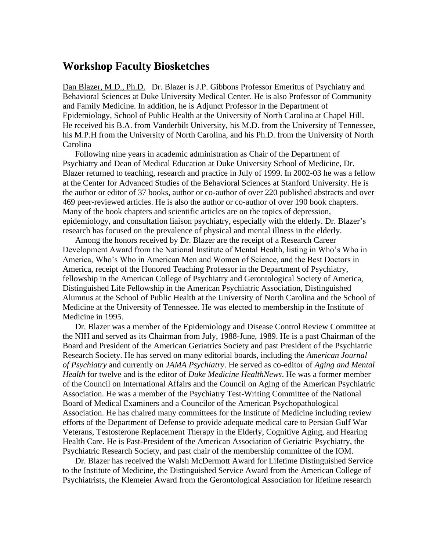## **Workshop Faculty Biosketches**

Dan Blazer, M.D., Ph.D. Dr. Blazer is J.P. Gibbons Professor Emeritus of Psychiatry and Behavioral Sciences at Duke University Medical Center. He is also Professor of Community and Family Medicine. In addition, he is Adjunct Professor in the Department of Epidemiology, School of Public Health at the University of North Carolina at Chapel Hill. He received his B.A. from Vanderbilt University, his M.D. from the University of Tennessee, his M.P.H from the University of North Carolina, and his Ph.D. from the University of North Carolina

Following nine years in academic administration as Chair of the Department of Psychiatry and Dean of Medical Education at Duke University School of Medicine, Dr. Blazer returned to teaching, research and practice in July of 1999. In 2002-03 he was a fellow at the Center for Advanced Studies of the Behavioral Sciences at Stanford University. He is the author or editor of 37 books, author or co-author of over 220 published abstracts and over 469 peer-reviewed articles. He is also the author or co-author of over 190 book chapters. Many of the book chapters and scientific articles are on the topics of depression, epidemiology, and consultation liaison psychiatry, especially with the elderly. Dr. Blazer's research has focused on the prevalence of physical and mental illness in the elderly.

Among the honors received by Dr. Blazer are the receipt of a Research Career Development Award from the National Institute of Mental Health, listing in Who's Who in America, Who's Who in American Men and Women of Science, and the Best Doctors in America, receipt of the Honored Teaching Professor in the Department of Psychiatry, fellowship in the American College of Psychiatry and Gerontological Society of America, Distinguished Life Fellowship in the American Psychiatric Association, Distinguished Alumnus at the School of Public Health at the University of North Carolina and the School of Medicine at the University of Tennessee. He was elected to membership in the Institute of Medicine in 1995.

Dr. Blazer was a member of the Epidemiology and Disease Control Review Committee at the NIH and served as its Chairman from July, 1988-June, 1989. He is a past Chairman of the Board and President of the American Geriatrics Society and past President of the Psychiatric Research Society. He has served on many editorial boards, including the *American Journal of Psychiatry* and currently on *JAMA Psychiatry*. He served as co-editor of *Aging and Mental Health* for twelve and is the editor of *Duke Medicine HealthNews*. He was a former member of the Council on International Affairs and the Council on Aging of the American Psychiatric Association. He was a member of the Psychiatry Test-Writing Committee of the National Board of Medical Examiners and a Councilor of the American Psychopathological Association. He has chaired many committees for the Institute of Medicine including review efforts of the Department of Defense to provide adequate medical care to Persian Gulf War Veterans, Testosterone Replacement Therapy in the Elderly, Cognitive Aging, and Hearing Health Care. He is Past-President of the American Association of Geriatric Psychiatry, the Psychiatric Research Society, and past chair of the membership committee of the IOM.

Dr. Blazer has received the Walsh McDermott Award for Lifetime Distinguished Service to the Institute of Medicine, the Distinguished Service Award from the American College of Psychiatrists, the Klemeier Award from the Gerontological Association for lifetime research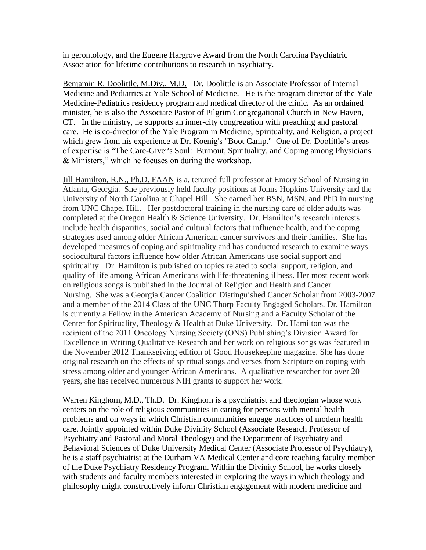in gerontology, and the Eugene Hargrove Award from the North Carolina Psychiatric Association for lifetime contributions to research in psychiatry.

Benjamin R. Doolittle, M.Div., M.D. Dr. Doolittle is an Associate Professor of Internal Medicine and Pediatrics at Yale School of Medicine. He is the program director of the Yale Medicine-Pediatrics residency program and medical director of the clinic. As an ordained minister, he is also the Associate Pastor of Pilgrim Congregational Church in New Haven, CT. In the ministry, he supports an inner-city congregation with preaching and pastoral care. He is co-director of the Yale Program in Medicine, Spirituality, and Religion, a project which grew from his experience at Dr. Koenig's "Boot Camp." One of Dr. Doolittle's areas of expertise is "The Care-Giver's Soul: Burnout, Spirituality, and Coping among Physicians & Ministers," which he focuses on during the workshop.

Jill Hamilton, R.N., Ph.D. FAAN is a, tenured full professor at Emory School of Nursing in Atlanta, Georgia. She previously held faculty positions at Johns Hopkins University and the University of North Carolina at Chapel Hill. She earned her BSN, MSN, and PhD in nursing from UNC Chapel Hill. Her postdoctoral training in the nursing care of older adults was completed at the Oregon Health & Science University. Dr. Hamilton's research interests include health disparities, social and cultural factors that influence health, and the coping strategies used among older African American cancer survivors and their families. She has developed measures of coping and spirituality and has conducted research to examine ways sociocultural factors influence how older African Americans use social support and spirituality. Dr. Hamilton is published on topics related to social support, religion, and quality of life among African Americans with life-threatening illness. Her most recent work on religious songs is published in the Journal of Religion and Health and Cancer Nursing. She was a Georgia Cancer Coalition Distinguished Cancer Scholar from 2003-2007 and a member of the 2014 Class of the UNC Thorp Faculty Engaged Scholars. Dr. Hamilton is currently a Fellow in the American Academy of Nursing and a Faculty Scholar of the Center for Spirituality, Theology & Health at Duke University. Dr. Hamilton was the recipient of the 2011 Oncology Nursing Society (ONS) Publishing's Division Award for Excellence in Writing Qualitative Research and her work on religious songs was featured in the November 2012 Thanksgiving edition of Good Housekeeping magazine. She has done original research on the effects of spiritual songs and verses from Scripture on coping with stress among older and younger African Americans. A qualitative researcher for over 20 years, she has received numerous NIH grants to support her work.

Warren Kinghorn, M.D., Th.D. Dr. Kinghorn is a psychiatrist and theologian whose work centers on the role of religious communities in caring for persons with mental health problems and on ways in which Christian communities engage practices of modern health care. Jointly appointed within Duke Divinity School (Associate Research Professor of Psychiatry and Pastoral and Moral Theology) and the Department of Psychiatry and Behavioral Sciences of Duke University Medical Center (Associate Professor of Psychiatry), he is a staff psychiatrist at the Durham VA Medical Center and core teaching faculty member of the Duke Psychiatry Residency Program. Within the Divinity School, he works closely with students and faculty members interested in exploring the ways in which theology and philosophy might constructively inform Christian engagement with modern medicine and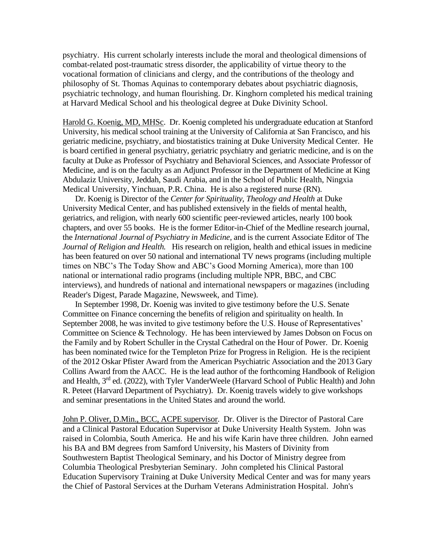psychiatry. His current scholarly interests include the moral and theological dimensions of combat-related post-traumatic stress disorder, the applicability of virtue theory to the vocational formation of clinicians and clergy, and the contributions of the theology and philosophy of St. Thomas Aquinas to contemporary debates about psychiatric diagnosis, psychiatric technology, and human flourishing. Dr. Kinghorn completed his medical training at Harvard Medical School and his theological degree at Duke Divinity School.

Harold G. Koenig, MD, MHSc. Dr. Koenig completed his undergraduate education at Stanford University, his medical school training at the University of California at San Francisco, and his geriatric medicine, psychiatry, and biostatistics training at Duke University Medical Center. He is board certified in general psychiatry, geriatric psychiatry and geriatric medicine, and is on the faculty at Duke as Professor of Psychiatry and Behavioral Sciences, and Associate Professor of Medicine, and is on the faculty as an Adjunct Professor in the Department of Medicine at King Abdulaziz University, Jeddah, Saudi Arabia, and in the School of Public Health, Ningxia Medical University, Yinchuan, P.R. China. He is also a registered nurse (RN).

Dr. Koenig is Director of the *Center for Spirituality, Theology and Health* at Duke University Medical Center, and has published extensively in the fields of mental health, geriatrics, and religion, with nearly 600 scientific peer-reviewed articles, nearly 100 book chapters, and over 55 books. He is the former Editor-in-Chief of the Medline research journal, the *International Journal of Psychiatry in Medicine,* and is the current Associate Editor of The *Journal of Religion and Health.* His research on religion, health and ethical issues in medicine has been featured on over 50 national and international TV news programs (including multiple times on NBC's The Today Show and ABC's Good Morning America), more than 100 national or international radio programs (including multiple NPR, BBC, and CBC interviews), and hundreds of national and international newspapers or magazines (including Reader's Digest, Parade Magazine, Newsweek, and Time).

In September 1998, Dr. Koenig was invited to give testimony before the U.S. Senate Committee on Finance concerning the benefits of religion and spirituality on health. In September 2008, he was invited to give testimony before the U.S. House of Representatives' Committee on Science & Technology. He has been interviewed by James Dobson on Focus on the Family and by Robert Schuller in the Crystal Cathedral on the Hour of Power. Dr. Koenig has been nominated twice for the Templeton Prize for Progress in Religion. He is the recipient of the 2012 Oskar Pfister Award from the American Psychiatric Association and the 2013 Gary Collins Award from the AACC. He is the lead author of the forthcoming Handbook of Religion and Health, 3rd ed. (2022), with Tyler VanderWeele (Harvard School of Public Health) and John R. Peteet (Harvard Department of Psychiatry). Dr. Koenig travels widely to give workshops and seminar presentations in the United States and around the world.

John P. Oliver, D.Min., BCC, ACPE supervisor. Dr. Oliver is the Director of Pastoral Care and a Clinical Pastoral Education Supervisor at Duke University Health System. John was raised in Colombia, South America. He and his wife Karin have three children. John earned his BA and BM degrees from Samford University, his Masters of Divinity from Southwestern Baptist Theological Seminary, and his Doctor of Ministry degree from Columbia Theological Presbyterian Seminary. John completed his Clinical Pastoral Education Supervisory Training at Duke University Medical Center and was for many years the Chief of Pastoral Services at the Durham Veterans Administration Hospital. John's